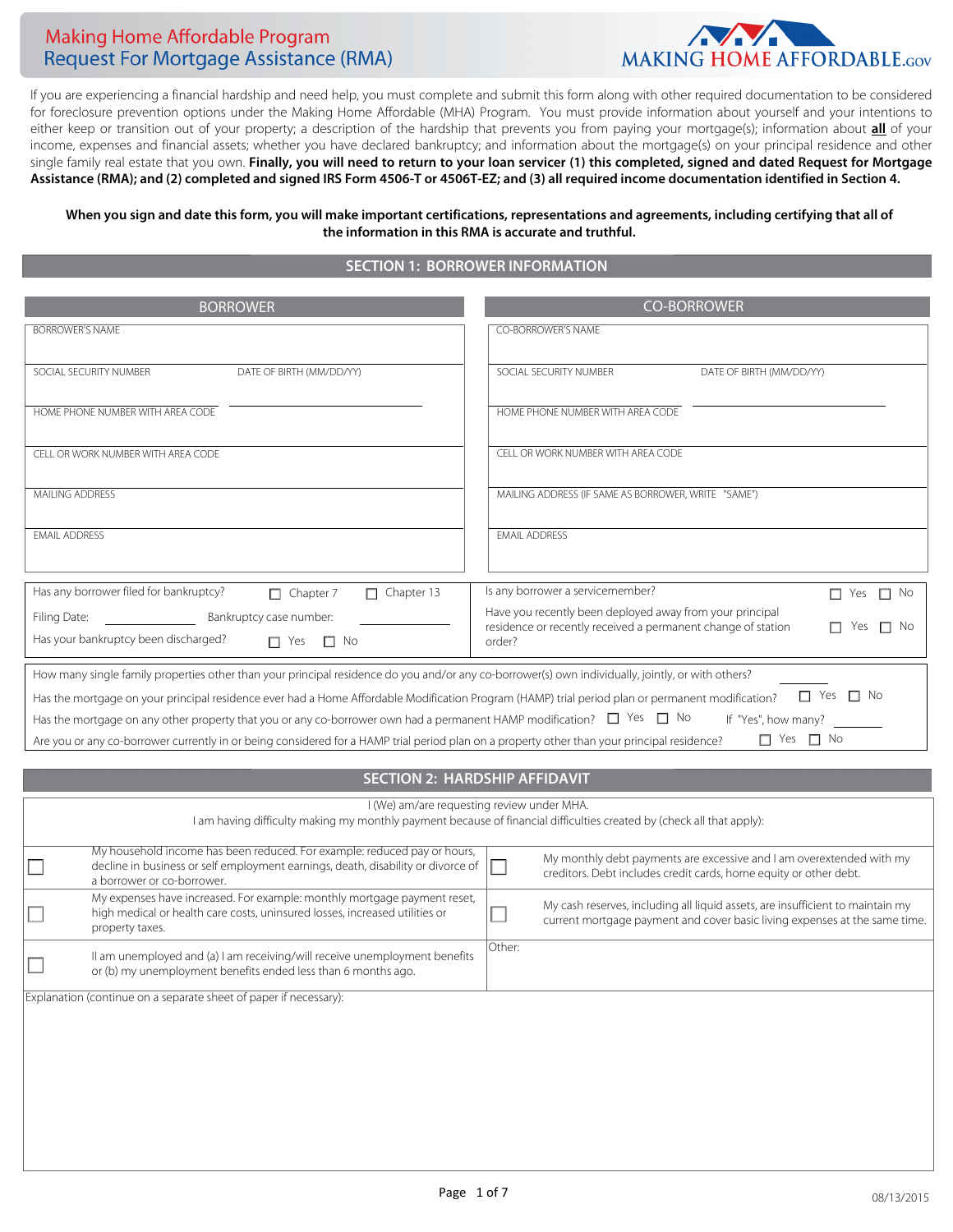# Making Home Affordable Program **Request For Mortgage Assistance (RMA)**



If you are experiencing a financial hardship and need help, you must complete and submit this form along with other required documentation to be considered for foreclosure prevention options under the Making Home Affordable (MHA) Program. You must provide information about yourself and your intentions to either keep or transition out of your property; a description of the hardship that prevents you from paying your mortgage(s); information about **all** of your income, expenses and financial assets; whether you have declared bankruptcy; and information about the mortgage(s) on your principal residence and other single family real estate that you own. **Finally, you will need to return to your loan servicer (1) this completed, signed and dated Request for Mortgage Assistance (RMA); and (2) completed and signed IRS Form 4506-T or 4506T-EZ; and (3) all required income documentation identified in Section 4.**

#### **When you sign and date this form, you will make important certifications, representations and agreements, including certifying that all of the information in this RMA is accurate and truthful.**

### **SECTION 1: BORROWER INFORMATION**

| <b>BORROWER</b>                                                                                                                                                             | <b>CO-BORROWER</b>                                                                                                                     |  |  |  |  |
|-----------------------------------------------------------------------------------------------------------------------------------------------------------------------------|----------------------------------------------------------------------------------------------------------------------------------------|--|--|--|--|
| <b>BORROWER'S NAME</b>                                                                                                                                                      | <b>CO-BORROWER'S NAME</b>                                                                                                              |  |  |  |  |
| SOCIAL SECURITY NUMBER<br>DATE OF BIRTH (MM/DD/YY)                                                                                                                          | SOCIAL SECURITY NUMBER<br>DATE OF BIRTH (MM/DD/YY)                                                                                     |  |  |  |  |
|                                                                                                                                                                             |                                                                                                                                        |  |  |  |  |
| HOME PHONE NUMBER WITH AREA CODE                                                                                                                                            | HOME PHONE NUMBER WITH AREA CODE                                                                                                       |  |  |  |  |
| CELL OR WORK NUMBER WITH AREA CODE                                                                                                                                          | CELL OR WORK NUMBER WITH AREA CODE                                                                                                     |  |  |  |  |
|                                                                                                                                                                             |                                                                                                                                        |  |  |  |  |
| <b>MAILING ADDRESS</b>                                                                                                                                                      | MAILING ADDRESS (IF SAME AS BORROWER, WRITE "SAME")                                                                                    |  |  |  |  |
| <b>EMAIL ADDRESS</b>                                                                                                                                                        | <b>EMAIL ADDRESS</b>                                                                                                                   |  |  |  |  |
|                                                                                                                                                                             |                                                                                                                                        |  |  |  |  |
| Has any borrower filed for bankruptcy?<br>$\Box$ Chapter 13<br>$\Box$ Chapter 7                                                                                             | Is any borrower a servicemember?<br>Yes<br>П<br>No                                                                                     |  |  |  |  |
| Bankruptcy case number:<br>Filing Date:                                                                                                                                     | Have you recently been deployed away from your principal<br>residence or recently received a permanent change of station<br>-No<br>Yes |  |  |  |  |
| Has your bankruptcy been discharged?<br>$\Box$ No<br>$\Box$ Yes                                                                                                             | order?                                                                                                                                 |  |  |  |  |
| How many single family properties other than your principal residence do you and/or any co-borrower(s) own individually, jointly, or with others?                           |                                                                                                                                        |  |  |  |  |
| $\Box$ Yes<br>$\Box$ No<br>Has the mortgage on your principal residence ever had a Home Affordable Modification Program (HAMP) trial period plan or permanent modification? |                                                                                                                                        |  |  |  |  |
| Has the mortgage on any other property that you or any co-borrower own had a permanent HAMP modification? $\square$ Yes $\square$ No<br>If "Yes", how many?                 |                                                                                                                                        |  |  |  |  |
| Are you or any co-borrower currently in or being considered for a HAMP trial period plan on a property other than your principal residence?                                 | $\Box$ No<br>Yes                                                                                                                       |  |  |  |  |

### **SECTION 2: HARDSHIP AFFIDAVIT**

| I (We) am/are requesting review under MHA.<br>I am having difficulty making my monthly payment because of financial difficulties created by (check all that apply): |                                                                                                                                                                                            |        |                                                                                                                                                              |  |  |  |
|---------------------------------------------------------------------------------------------------------------------------------------------------------------------|--------------------------------------------------------------------------------------------------------------------------------------------------------------------------------------------|--------|--------------------------------------------------------------------------------------------------------------------------------------------------------------|--|--|--|
|                                                                                                                                                                     | My household income has been reduced. For example: reduced pay or hours,<br>decline in business or self employment earnings, death, disability or divorce of<br>a borrower or co-borrower. |        | My monthly debt payments are excessive and I am overextended with my<br>creditors. Debt includes credit cards, home equity or other debt.                    |  |  |  |
|                                                                                                                                                                     | My expenses have increased. For example: monthly mortgage payment reset,<br>high medical or health care costs, uninsured losses, increased utilities or<br>property taxes.                 |        | My cash reserves, including all liquid assets, are insufficient to maintain my<br>current mortgage payment and cover basic living expenses at the same time. |  |  |  |
|                                                                                                                                                                     | II am unemployed and (a) I am receiving/will receive unemployment benefits<br>or (b) my unemployment benefits ended less than 6 months ago.                                                | Other: |                                                                                                                                                              |  |  |  |
| Explanation (continue on a separate sheet of paper if necessary):                                                                                                   |                                                                                                                                                                                            |        |                                                                                                                                                              |  |  |  |
|                                                                                                                                                                     |                                                                                                                                                                                            |        |                                                                                                                                                              |  |  |  |
|                                                                                                                                                                     |                                                                                                                                                                                            |        |                                                                                                                                                              |  |  |  |
|                                                                                                                                                                     |                                                                                                                                                                                            |        |                                                                                                                                                              |  |  |  |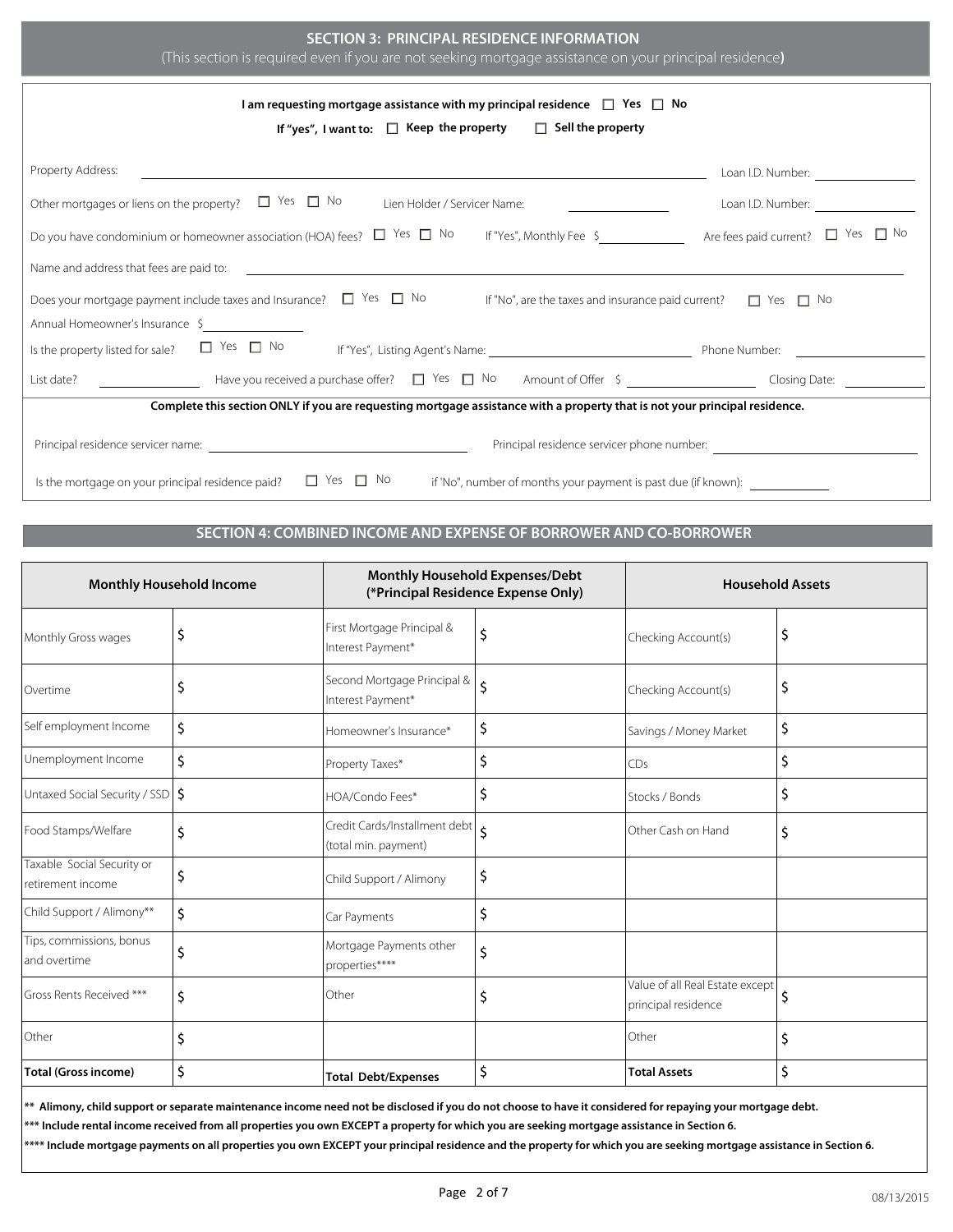| <b>SECTION 3: PRINCIPAL RESIDENCE INFORMATION</b><br>(This section is required even if you are not seeking mortgage assistance on your principal residence)                                                                                                                                                                                                       |  |  |  |  |  |
|-------------------------------------------------------------------------------------------------------------------------------------------------------------------------------------------------------------------------------------------------------------------------------------------------------------------------------------------------------------------|--|--|--|--|--|
| I am requesting mortgage assistance with my principal residence $\Box$ Yes $\Box$ No<br>If "yes", I want to: $\square$ Keep the property<br>$\Box$ Sell the property                                                                                                                                                                                              |  |  |  |  |  |
| Property Address:<br>Loan I.D. Number:<br><u> 1989 - John Stone, Amerikaansk politiker († 1989)</u>                                                                                                                                                                                                                                                               |  |  |  |  |  |
| Other mortgages or liens on the property? $\square$ Yes $\square$ No<br>Lien Holder / Servicer Name:<br>Loan I.D. Number:<br><u>and the community of the community of the community of the community of the community of the community of the community of the community of the community of the community of the community of the community of the community</u> |  |  |  |  |  |
| Do you have condominium or homeowner association (HOA) fees? $\square$ Yes $\square$ No<br>Are fees paid current? $\Box$ Yes $\Box$ No<br>If "Yes", Monthly Fee $\zeta$                                                                                                                                                                                           |  |  |  |  |  |
| Name and address that fees are paid to: example and the state of the state of the state of the state of the state of the state of the state of the state of the state of the state of the state of the state of the state of t                                                                                                                                    |  |  |  |  |  |
| Does your mortgage payment include taxes and Insurance? $\square$ Yes $\square$ No<br>If "No", are the taxes and insurance paid current? $\Box$ Yes $\Box$ No<br>Annual Homeowner's Insurance \$                                                                                                                                                                  |  |  |  |  |  |
| Is the property listed for sale? $\Box$ Yes $\Box$ No                                                                                                                                                                                                                                                                                                             |  |  |  |  |  |
| Have you received a purchase offer? □ Yes □ No Amount of Offer \$ _____________________Closing Date: __________<br>List date?                                                                                                                                                                                                                                     |  |  |  |  |  |
| Complete this section ONLY if you are requesting mortgage assistance with a property that is not your principal residence.                                                                                                                                                                                                                                        |  |  |  |  |  |
| Principal residence servicer phone number:                                                                                                                                                                                                                                                                                                                        |  |  |  |  |  |
| $\Box$ Yes $\Box$ No<br>if 'No", number of months your payment is past due (if known):<br>Is the mortgage on your principal residence paid?                                                                                                                                                                                                                       |  |  |  |  |  |

# **SECTION 4: COMBINED INCOME AND EXPENSE OF BORROWER AND CO-BORROWER**

| <b>Monthly Household Income</b>                 |         |                                                       | Monthly Household Expenses/Debt<br>(*Principal Residence Expense Only) | <b>Household Assets</b>                                |    |
|-------------------------------------------------|---------|-------------------------------------------------------|------------------------------------------------------------------------|--------------------------------------------------------|----|
| Monthly Gross wages                             | \$      | First Mortgage Principal &<br>Interest Payment*       | \$                                                                     | Checking Account(s)                                    |    |
| <b>Overtime</b>                                 | \$      | Second Mortgage Principal &<br>Interest Payment*      | \$                                                                     | Checking Account(s)                                    | \$ |
| Self employment Income                          | $\zeta$ | Homeowner's Insurance*                                | \$                                                                     | Savings / Money Market                                 | \$ |
| Unemployment Income                             | \$      | Property Taxes*                                       | \$                                                                     | CDs                                                    | \$ |
| Untaxed Social Security / SSD $\mid$ \$         |         | HOA/Condo Fees*                                       | \$                                                                     | Stocks / Bonds                                         | \$ |
| Food Stamps/Welfare                             | \$      | Credit Cards/Installment debt<br>(total min. payment) | $\mathsf{\hat{S}}$                                                     | Other Cash on Hand                                     | \$ |
| Taxable Social Security or<br>retirement income | \$      | Child Support / Alimony                               | \$                                                                     |                                                        |    |
| Child Support / Alimony**                       | $\zeta$ | Car Payments                                          | \$                                                                     |                                                        |    |
| Tips, commissions, bonus<br>and overtime        | \$      | Mortgage Payments other<br>properties****             | \$                                                                     |                                                        |    |
| Gross Rents Received ***                        | \$      | Other                                                 | \$                                                                     | Value of all Real Estate except<br>principal residence | \$ |
| <b>Other</b>                                    | \$      |                                                       |                                                                        | Other                                                  | \$ |
| <b>Total (Gross income)</b>                     | \$      | <b>Total Debt/Expenses</b>                            | \$                                                                     | <b>Total Assets</b>                                    | \$ |

**\*\* Alimony, child support or separate maintenance income need not be disclosed if you do not choose to have it considered for repaying your mortgage debt.** 

**\*\*\* Include rental income received from all properties you own EXCEPT a property for which you are seeking mortgage assistance in Section 6.** 

**\*\*\*\* Include mortgage payments on all properties you own EXCEPT your principal residence and the property for which you are seeking mortgage assistance in Section 6.**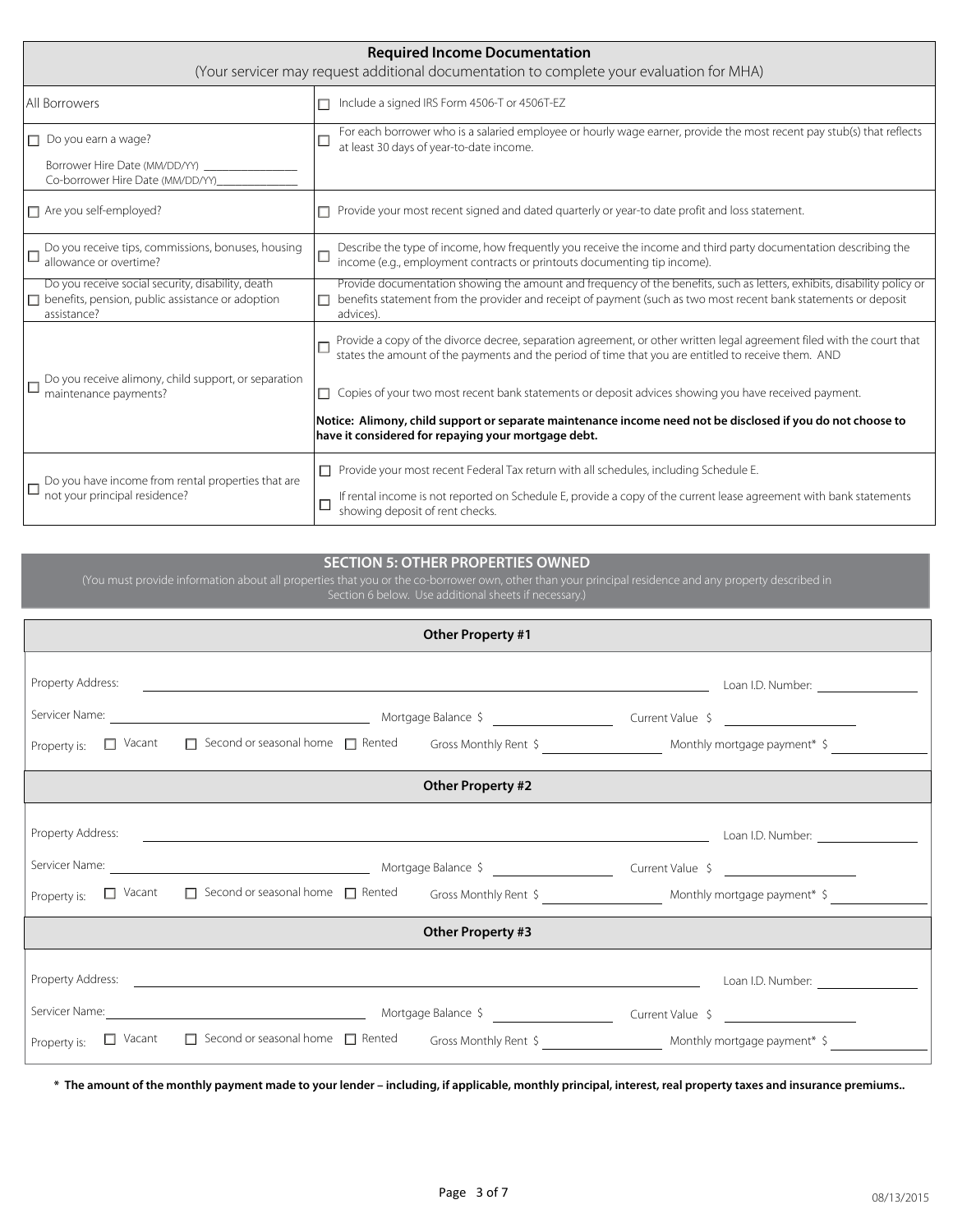| <b>Required Income Documentation</b><br>(Your servicer may request additional documentation to complete your evaluation for MHA) |                                                                                                                                                                                                                                                         |  |  |  |
|----------------------------------------------------------------------------------------------------------------------------------|---------------------------------------------------------------------------------------------------------------------------------------------------------------------------------------------------------------------------------------------------------|--|--|--|
| All Borrowers                                                                                                                    | Include a signed IRS Form 4506-T or 4506T-EZ                                                                                                                                                                                                            |  |  |  |
| $\Box$ Do you earn a wage?<br>Borrower Hire Date (MM/DD/YY)<br>Co-borrower Hire Date (MM/DD/YY)                                  | For each borrower who is a salaried employee or hourly wage earner, provide the most recent pay stub(s) that reflects<br>at least 30 days of year-to-date income.                                                                                       |  |  |  |
| $\Box$ Are you self-employed?                                                                                                    | Provide your most recent signed and dated quarterly or year-to date profit and loss statement.                                                                                                                                                          |  |  |  |
| Do you receive tips, commissions, bonuses, housing<br>allowance or overtime?                                                     | Describe the type of income, how frequently you receive the income and third party documentation describing the<br>income (e.g., employment contracts or printouts documenting tip income).                                                             |  |  |  |
| Do you receive social security, disability, death<br>$\Box$ benefits, pension, public assistance or adoption<br>assistance?      | Provide documentation showing the amount and frequency of the benefits, such as letters, exhibits, disability policy or<br>benefits statement from the provider and receipt of payment (such as two most recent bank statements or deposit<br>advices). |  |  |  |
|                                                                                                                                  | Provide a copy of the divorce decree, separation agreement, or other written legal agreement filed with the court that<br>states the amount of the payments and the period of time that you are entitled to receive them. AND                           |  |  |  |
| Do you receive alimony, child support, or separation<br>maintenance payments?                                                    | Copies of your two most recent bank statements or deposit advices showing you have received payment.                                                                                                                                                    |  |  |  |
|                                                                                                                                  | Notice: Alimony, child support or separate maintenance income need not be disclosed if you do not choose to<br>have it considered for repaying your mortgage debt.                                                                                      |  |  |  |
| Do you have income from rental properties that are                                                                               | □ Provide your most recent Federal Tax return with all schedules, including Schedule E.                                                                                                                                                                 |  |  |  |
| not your principal residence?                                                                                                    | If rental income is not reported on Schedule E, provide a copy of the current lease agreement with bank statements<br>showing deposit of rent checks.                                                                                                   |  |  |  |

#### **SECTION 5: OTHER PROPERTIES OWNED**

Section 6 below. Use additional sheets if necessary.)

|                            |                                                                                                                                                                                                                                       | <b>Other Property #1</b> |  |  |  |  |
|----------------------------|---------------------------------------------------------------------------------------------------------------------------------------------------------------------------------------------------------------------------------------|--------------------------|--|--|--|--|
|                            |                                                                                                                                                                                                                                       |                          |  |  |  |  |
|                            |                                                                                                                                                                                                                                       |                          |  |  |  |  |
| Property is: $\Box$ Vacant | □ Second or seasonal home □ Rented Gross Monthly Rent \$ _______________________ Monthly mortgage payment* \$ _______________                                                                                                         |                          |  |  |  |  |
| <b>Other Property #2</b>   |                                                                                                                                                                                                                                       |                          |  |  |  |  |
| Property Address:          |                                                                                                                                                                                                                                       |                          |  |  |  |  |
|                            |                                                                                                                                                                                                                                       |                          |  |  |  |  |
|                            | Property is: $\Box$ Vacant $\Box$ Second or seasonal home $\Box$ Rented                                                                                                                                                               |                          |  |  |  |  |
| Other Property #3          |                                                                                                                                                                                                                                       |                          |  |  |  |  |
|                            |                                                                                                                                                                                                                                       |                          |  |  |  |  |
|                            | Servicer Name: 1990 Mortgage Balance \$ 2000 Mortgage Balance \$ 2000 Mortgage Balance \$ 2000 Mortgage Balance \$ 2000 Mortgage Balance \$ 2000 Mortgage Balance \$ 2000 Mortgage 8 Mortgage Balance \$ 2000 Mortgage 8 Mortgage 8 M |                          |  |  |  |  |
| Property is: $\Box$ Vacant | □ Second or seasonal home □ Rented Gross Monthly Rent \$ _______________________ Monthly mortgage payment* \$ _______________                                                                                                         |                          |  |  |  |  |

**\* The amount of the monthly payment made to your lender – including, if applicable, monthly principal, interest, real property taxes and insurance premiums..**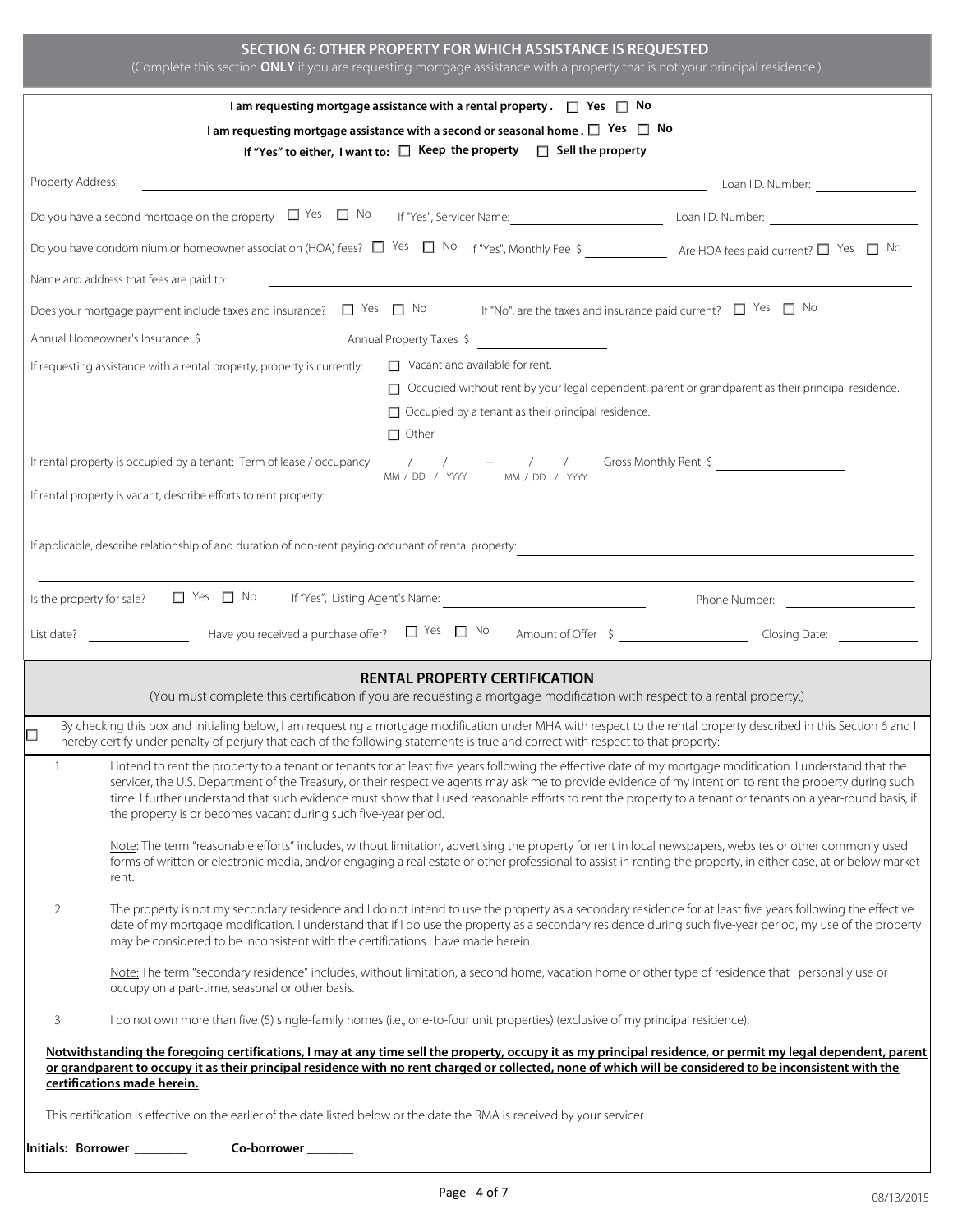| <b>SECTION 6: OTHER PROPERTY FOR WHICH ASSISTANCE IS REQUESTED</b><br>(Complete this section ONLY if you are requesting mortgage assistance with a property that is not your principal residence.)                                                                                                                                                                                                                                                                                                                                                                 |
|--------------------------------------------------------------------------------------------------------------------------------------------------------------------------------------------------------------------------------------------------------------------------------------------------------------------------------------------------------------------------------------------------------------------------------------------------------------------------------------------------------------------------------------------------------------------|
| I am requesting mortgage assistance with a rental property $\Box$ Yes $\Box$ No<br>I am requesting mortgage assistance with a second or seasonal home . $\square$ Yes $\square$ No<br>If "Yes" to either, I want to: $\square$ Keep the property $\square$ Sell the property                                                                                                                                                                                                                                                                                       |
| Property Address:<br>digital to the contract of the contract of the contract of the contract of the contract of the contract of the c                                                                                                                                                                                                                                                                                                                                                                                                                              |
| Do you have a second mortgage on the property $\Box$ Yes $\Box$ No If "Yes", Servicer Name: Loment Manner Manner Manner Manner Manner Manner Manner Manner Manner Manner Manner Manner Manner Manner Manner Manner Manner Manner M                                                                                                                                                                                                                                                                                                                                 |
| Do you have condominium or homeowner association (HOA) fees? $\square$ Yes $\square$ No If "Yes", Monthly Fee \$ Are HOA fees paid current? $\square$ Yes $\square$ No                                                                                                                                                                                                                                                                                                                                                                                             |
| Name and address that fees are paid to:                                                                                                                                                                                                                                                                                                                                                                                                                                                                                                                            |
| Does your mortgage payment include taxes and insurance? $\Box$ Yes $\Box$ No If "No", are the taxes and insurance paid current? $\Box$ Yes $\Box$ No                                                                                                                                                                                                                                                                                                                                                                                                               |
| Annual Homeowner's Insurance \$<br>Annual Property Taxes \$   Taxes \$ 1                                                                                                                                                                                                                                                                                                                                                                                                                                                                                           |
| $\Box$ Vacant and available for rent.<br>If requesting assistance with a rental property, property is currently:<br>□ Occupied without rent by your legal dependent, parent or grandparent as their principal residence.<br>$\Box$ Occupied by a tenant as their principal residence.                                                                                                                                                                                                                                                                              |
| If rental property is occupied by a tenant: Term of lease / occupancy ____/___/____/____ - ___/___/____/ _____ Gross Monthly Rent \$<br>$MM / DD / YYY$ $MM / DD / YYY$                                                                                                                                                                                                                                                                                                                                                                                            |
| Is the property for sale?<br>Have you received a purchase offer?<br>The State Amount of Offer S<br>2 Closing Date:  Closing Date:<br>List date?                                                                                                                                                                                                                                                                                                                                                                                                                    |
| <b>RENTAL PROPERTY CERTIFICATION</b><br>(You must complete this certification if you are requesting a mortgage modification with respect to a rental property.)                                                                                                                                                                                                                                                                                                                                                                                                    |
| By checking this box and initialing below, I am requesting a mortgage modification under MHA with respect to the rental property described in this Section 6 and I<br>hereby certify under penalty of perjury that each of the following statements is true and correct with respect to that property:                                                                                                                                                                                                                                                             |
| I intend to rent the property to a tenant or tenants for at least five years following the effective date of my mortgage modification. I understand that the<br>1.<br>servicer, the U.S. Department of the Treasury, or their respective agents may ask me to provide evidence of my intention to rent the property during such<br>time. I further understand that such evidence must show that I used reasonable efforts to rent the property to a tenant or tenants on a year-round basis, if<br>the property is or becomes vacant during such five-year period. |
| Note: The term "reasonable efforts" includes, without limitation, advertising the property for rent in local newspapers, websites or other commonly used<br>forms of written or electronic media, and/or engaging a real estate or other professional to assist in renting the property, in either case, at or below market<br>rent.                                                                                                                                                                                                                               |
| The property is not my secondary residence and I do not intend to use the property as a secondary residence for at least five years following the effective<br>2.<br>date of my mortgage modification. I understand that if I do use the property as a secondary residence during such five-year period, my use of the property<br>may be considered to be inconsistent with the certifications I have made herein.                                                                                                                                                |
| Note: The term "secondary residence" includes, without limitation, a second home, vacation home or other type of residence that I personally use or<br>occupy on a part-time, seasonal or other basis.                                                                                                                                                                                                                                                                                                                                                             |
| I do not own more than five (5) single-family homes (i.e., one-to-four unit properties) (exclusive of my principal residence).<br>3.                                                                                                                                                                                                                                                                                                                                                                                                                               |
| Notwithstanding the foregoing certifications, I may at any time sell the property, occupy it as my principal residence, or permit my legal dependent, parent<br>or grandparent to occupy it as their principal residence with no rent charged or collected, none of which will be considered to be inconsistent with the<br>certifications made herein.                                                                                                                                                                                                            |
| This certification is effective on the earlier of the date listed below or the date the RMA is received by your servicer.                                                                                                                                                                                                                                                                                                                                                                                                                                          |
| Initials: Borrower<br>Co-borrower                                                                                                                                                                                                                                                                                                                                                                                                                                                                                                                                  |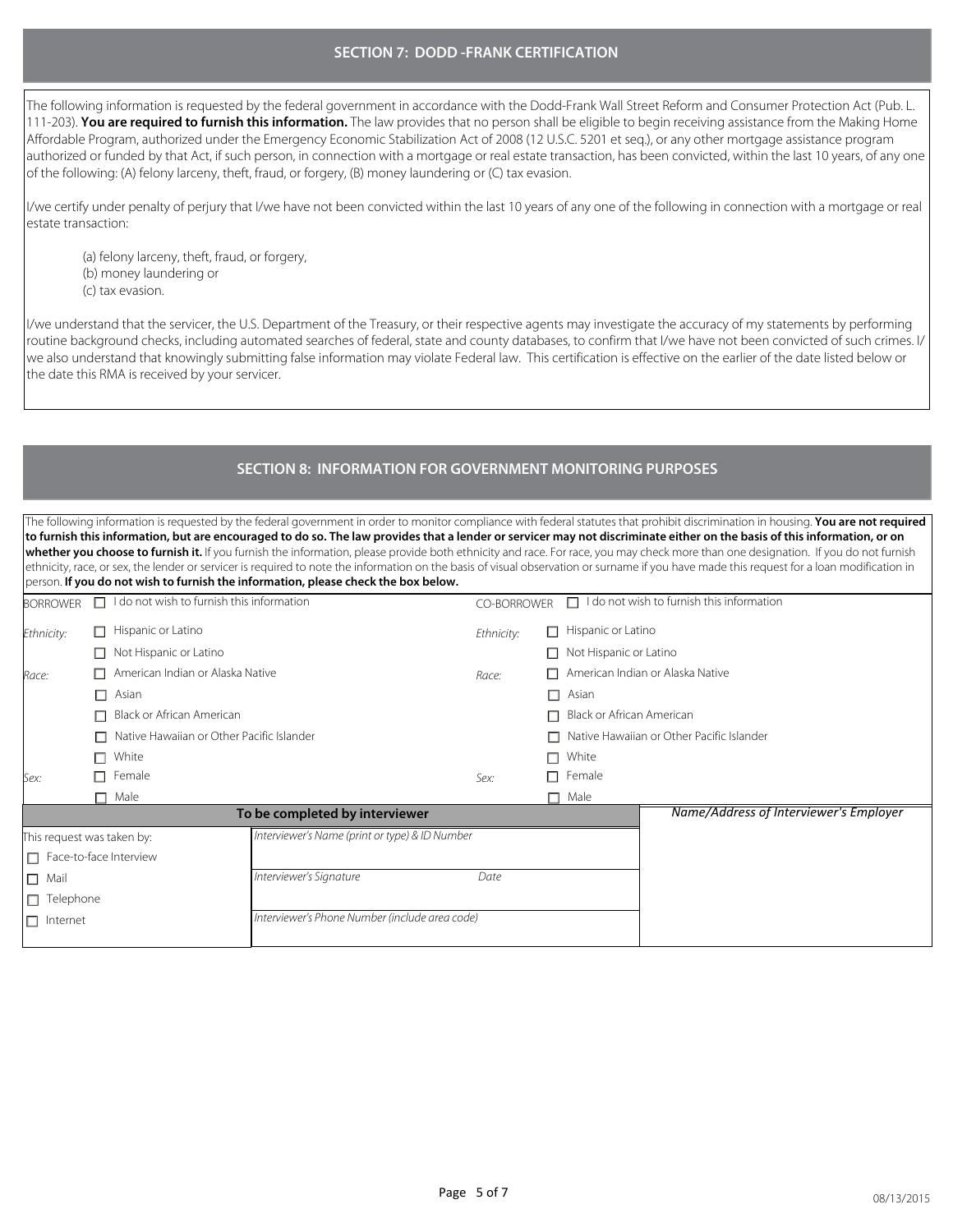### **SECTION 7: DODD -FRANK CERTIFICATION**

The following information is requested by the federal government in accordance with the Dodd-Frank Wall Street Reform and Consumer Protection Act (Pub. L. 111-203). **You are required to furnish this information.** The law provides that no person shall be eligible to begin receiving assistance from the Making Home Affordable Program, authorized under the Emergency Economic Stabilization Act of 2008 (12 U.S.C. 5201 et seq.), or any other mortgage assistance program authorized or funded by that Act, if such person, in connection with a mortgage or real estate transaction, has been convicted, within the last 10 years, of any one of the following: (A) felony larceny, theft, fraud, or forgery, (B) money laundering or (C) tax evasion.

I/we certify under penalty of perjury that I/we have not been convicted within the last 10 years of any one of the following in connection with a mortgage or real estate transaction:

(a) felony larceny, theft, fraud, or forgery, (b) money laundering or (c) tax evasion.

I/we understand that the servicer, the U.S. Department of the Treasury, or their respective agents may investigate the accuracy of my statements by performing routine background checks, including automated searches of federal, state and county databases, to confirm that I/we have not been convicted of such crimes. I/ we also understand that knowingly submitting false information may violate Federal law. This certification is effective on the earlier of the date listed below or the date this RMA is received by your servicer.

# **SECTION 8: INFORMATION FOR GOVERNMENT MONITORING PURPOSES**

|                                |                                  |                                           |                                                                                    |                    |       |                                  | The following information is requested by the federal government in order to monitor compliance with federal statutes that prohibit discrimination in housing. You are not required                                                                                                                                                                            |  |
|--------------------------------|----------------------------------|-------------------------------------------|------------------------------------------------------------------------------------|--------------------|-------|----------------------------------|----------------------------------------------------------------------------------------------------------------------------------------------------------------------------------------------------------------------------------------------------------------------------------------------------------------------------------------------------------------|--|
|                                |                                  |                                           |                                                                                    |                    |       |                                  | to furnish this information, but are encouraged to do so. The law provides that a lender or servicer may not discriminate either on the basis of this information, or on<br>whether you choose to furnish it. If you furnish the information, please provide both ethnicity and race. For race, you may check more than one designation. If you do not furnish |  |
|                                |                                  |                                           | person. If you do not wish to furnish the information, please check the box below. |                    |       |                                  | ethnicity, race, or sex, the lender or servicer is required to note the information on the basis of visual observation or surname if you have made this request for a loan modification in                                                                                                                                                                     |  |
|                                |                                  | I do not wish to furnish this information |                                                                                    |                    |       | П                                | I do not wish to furnish this information                                                                                                                                                                                                                                                                                                                      |  |
| <b>BORROWER</b>                |                                  |                                           |                                                                                    | <b>CO-BORROWER</b> |       |                                  |                                                                                                                                                                                                                                                                                                                                                                |  |
| Ethnicity:                     |                                  | Hispanic or Latino                        |                                                                                    | Ethnicity:         |       | Hispanic or Latino               |                                                                                                                                                                                                                                                                                                                                                                |  |
|                                |                                  | Not Hispanic or Latino                    |                                                                                    |                    |       | Not Hispanic or Latino           |                                                                                                                                                                                                                                                                                                                                                                |  |
| Race:                          | American Indian or Alaska Native |                                           | Race:                                                                              |                    |       | American Indian or Alaska Native |                                                                                                                                                                                                                                                                                                                                                                |  |
|                                | П                                | Asian                                     |                                                                                    |                    | п     | Asian                            |                                                                                                                                                                                                                                                                                                                                                                |  |
|                                |                                  | Black or African American                 |                                                                                    |                    |       |                                  | Black or African American                                                                                                                                                                                                                                                                                                                                      |  |
|                                |                                  |                                           | Native Hawaiian or Other Pacific Islander                                          |                    |       |                                  | Native Hawaiian or Other Pacific Islander                                                                                                                                                                                                                                                                                                                      |  |
|                                | White                            |                                           |                                                                                    |                    | White |                                  |                                                                                                                                                                                                                                                                                                                                                                |  |
| lSex:                          |                                  | Female                                    |                                                                                    | Sex:               | п     | Female                           |                                                                                                                                                                                                                                                                                                                                                                |  |
|                                |                                  | $\Box$ Male                               |                                                                                    |                    | п     | Male                             |                                                                                                                                                                                                                                                                                                                                                                |  |
| To be completed by interviewer |                                  |                                           |                                                                                    |                    |       |                                  | Name/Address of Interviewer's Employer                                                                                                                                                                                                                                                                                                                         |  |
| This request was taken by:     |                                  |                                           | Interviewer's Name (print or type) & ID Number                                     |                    |       |                                  |                                                                                                                                                                                                                                                                                                                                                                |  |
| $\Box$ Face-to-face Interview  |                                  |                                           |                                                                                    |                    |       |                                  |                                                                                                                                                                                                                                                                                                                                                                |  |
| $\Box$ Mail                    |                                  |                                           | Interviewer's Signature                                                            | Date               |       |                                  |                                                                                                                                                                                                                                                                                                                                                                |  |
| $\Box$ Telephone               |                                  |                                           |                                                                                    |                    |       |                                  |                                                                                                                                                                                                                                                                                                                                                                |  |
| $\Box$ Internet                |                                  |                                           | Interviewer's Phone Number (include area code)                                     |                    |       |                                  |                                                                                                                                                                                                                                                                                                                                                                |  |
|                                |                                  |                                           |                                                                                    |                    |       |                                  |                                                                                                                                                                                                                                                                                                                                                                |  |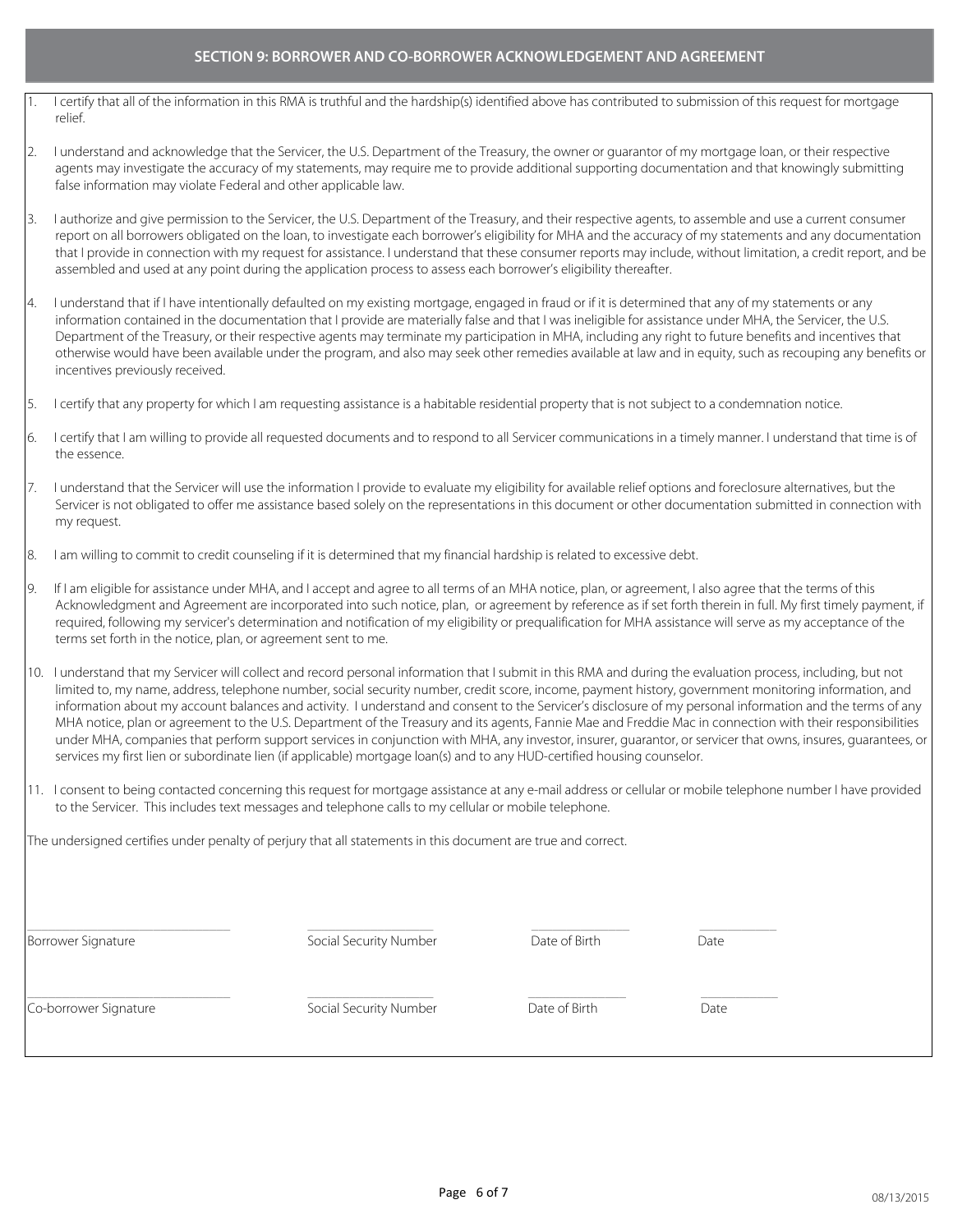#### **SECTION 9: BORROWER AND CO-BORROWER ACKNOWLEDGEMENT AND AGREEMENT**

- 1. I certify that all of the information in this RMA is truthful and the hardship(s) identified above has contributed to submission of this request for mortgage relief.
- 2. I understand and acknowledge that the Servicer, the U.S. Department of the Treasury, the owner or guarantor of my mortgage loan, or their respective agents may investigate the accuracy of my statements, may require me to provide additional supporting documentation and that knowingly submitting false information may violate Federal and other applicable law.
- 3. I authorize and give permission to the Servicer, the U.S. Department of the Treasury, and their respective agents, to assemble and use a current consumer report on all borrowers obligated on the loan, to investigate each borrower's eligibility for MHA and the accuracy of my statements and any documentation that I provide in connection with my request for assistance. I understand that these consumer reports may include, without limitation, a credit report, and be assembled and used at any point during the application process to assess each borrower's eligibility thereafter.
- 4. I understand that if I have intentionally defaulted on my existing mortgage, engaged in fraud or if it is determined that any of my statements or any information contained in the documentation that I provide are materially false and that I was ineligible for assistance under MHA, the Servicer, the U.S. Department of the Treasury, or their respective agents may terminate my participation in MHA, including any right to future benefits and incentives that otherwise would have been available under the program, and also may seek other remedies available at law and in equity, such as recouping any benefits or incentives previously received.
- 5. I certify that any property for which I am requesting assistance is a habitable residential property that is not subject to a condemnation notice.
- 6. I certify that I am willing to provide all requested documents and to respond to all Servicer communications in a timely manner. I understand that time is of the essence.
- 7. I understand that the Servicer will use the information I provide to evaluate my eligibility for available relief options and foreclosure alternatives, but the Servicer is not obligated to offer me assistance based solely on the representations in this document or other documentation submitted in connection with my request.
- 8. I am willing to commit to credit counseling if it is determined that my financial hardship is related to excessive debt.
- 9. If I am eligible for assistance under MHA, and I accept and agree to all terms of an MHA notice, plan, or agreement, I also agree that the terms of this Acknowledgment and Agreement are incorporated into such notice, plan, or agreement by reference as if set forth therein in full. My first timely payment, if required, following my servicer's determination and notification of my eligibility or prequalification for MHA assistance will serve as my acceptance of the terms set forth in the notice, plan, or agreement sent to me.
- 10. I understand that my Servicer will collect and record personal information that I submit in this RMA and during the evaluation process, including, but not limited to, my name, address, telephone number, social security number, credit score, income, payment history, government monitoring information, and information about my account balances and activity. I understand and consent to the Servicer's disclosure of my personal information and the terms of any MHA notice, plan or agreement to the U.S. Department of the Treasury and its agents, Fannie Mae and Freddie Mac in connection with their responsibilities under MHA, companies that perform support services in conjunction with MHA, any investor, insurer, guarantor, or servicer that owns, insures, guarantees, or services my first lien or subordinate lien (if applicable) mortgage loan(s) and to any HUD-certified housing counselor.
- 11. I consent to being contacted concerning this request for mortgage assistance at any e-mail address or cellular or mobile telephone number I have provided to the Servicer. This includes text messages and telephone calls to my cellular or mobile telephone.

The undersigned certifies under penalty of perjury that all statements in this document are true and correct.

Borrower Signature **Social Security Number** Date of Birth Date of Birth Date

\_\_\_\_\_\_\_\_\_\_\_\_\_\_\_\_\_\_\_\_\_\_\_\_\_\_\_\_\_ \_\_\_\_\_\_\_\_\_\_\_\_\_\_\_\_\_\_ \_\_\_\_\_\_\_\_\_\_\_\_\_\_ \_\_\_\_\_\_\_\_\_\_\_

Co-borrower Signature **Social Security Number** Date of Birth Date of Birth Date of Birth Date

\_\_\_\_\_\_\_\_\_\_\_\_\_\_\_\_\_\_\_\_\_\_\_\_\_\_\_\_\_ \_\_\_\_\_\_\_\_\_\_\_\_\_\_\_\_\_\_ \_\_\_\_\_\_\_\_\_\_\_\_\_\_ \_\_\_\_\_\_\_\_\_\_\_